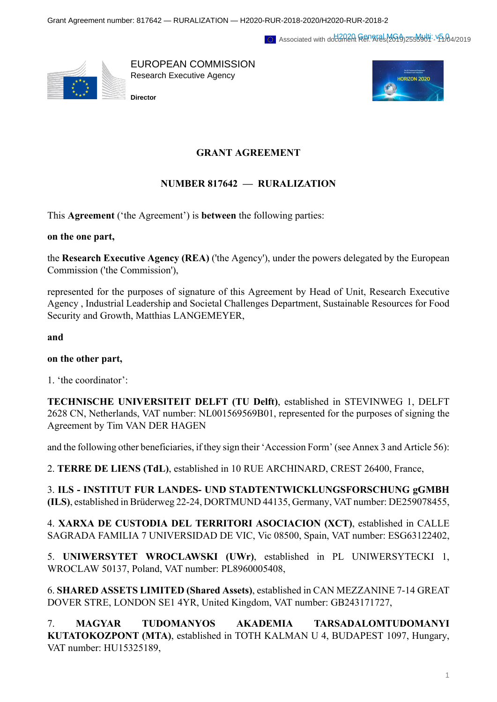Associated with doclament Ref. Aras(2619)255556114: V5.04/2019



EUROPEAN COMMISSION Research Executive Agency



**Director**

## **GRANT AGREEMENT**

## **NUMBER 817642 — RURALIZATION**

This **Agreement** ('the Agreement') is **between** the following parties:

**on the one part,**

the **Research Executive Agency (REA)** ('the Agency'), under the powers delegated by the European Commission ('the Commission'),

represented for the purposes of signature of this Agreement by Head of Unit, Research Executive Agency , Industrial Leadership and Societal Challenges Department, Sustainable Resources for Food Security and Growth, Matthias LANGEMEYER,

**and**

## **on the other part,**

1. 'the coordinator':

**TECHNISCHE UNIVERSITEIT DELFT (TU Delft)**, established in STEVINWEG 1, DELFT 2628 CN, Netherlands, VAT number: NL001569569B01, represented for the purposes of signing the Agreement by Tim VAN DER HAGEN

and the following other beneficiaries, if they sign their 'Accession Form' (see Annex 3 and Article 56):

2. **TERRE DE LIENS (TdL)**, established in 10 RUE ARCHINARD, CREST 26400, France,

3. **ILS - INSTITUT FUR LANDES- UND STADTENTWICKLUNGSFORSCHUNG gGMBH (ILS)**, established in Brüderweg 22-24, DORTMUND 44135, Germany, VAT number: DE259078455,

4. **XARXA DE CUSTODIA DEL TERRITORI ASOCIACION (XCT)**, established in CALLE SAGRADA FAMILIA 7 UNIVERSIDAD DE VIC, Vic 08500, Spain, VAT number: ESG63122402,

5. **UNIWERSYTET WROCLAWSKI (UWr)**, established in PL UNIWERSYTECKI 1, WROCLAW 50137, Poland, VAT number: PL8960005408,

6. **SHARED ASSETS LIMITED (Shared Assets)**, established in CAN MEZZANINE 7-14 GREAT DOVER STRE, LONDON SE1 4YR, United Kingdom, VAT number: GB243171727,

7. **MAGYAR TUDOMANYOS AKADEMIA TARSADALOMTUDOMANYI KUTATOKOZPONT (MTA)**, established in TOTH KALMAN U 4, BUDAPEST 1097, Hungary, VAT number: HU15325189,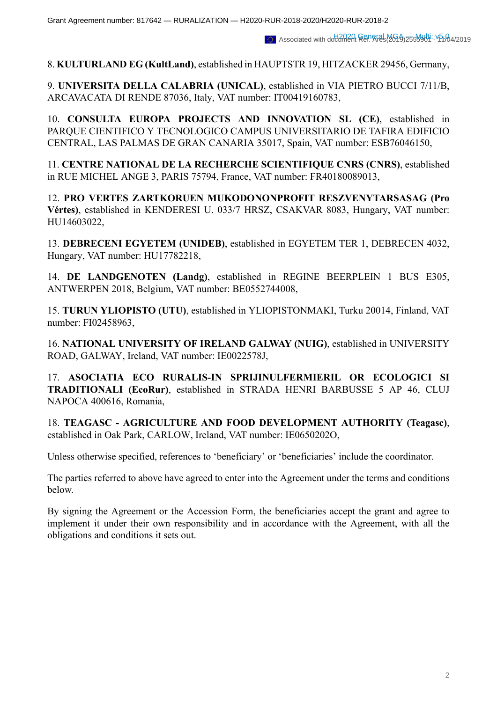Associated with doclament Ref. Aras(2619)255556114: V5.04/2019

8. **KULTURLAND EG (KultLand)**, established in HAUPTSTR 19, HITZACKER 29456, Germany,

9. **UNIVERSITA DELLA CALABRIA (UNICAL)**, established in VIA PIETRO BUCCI 7/11/B, ARCAVACATA DI RENDE 87036, Italy, VAT number: IT00419160783,

10. **CONSULTA EUROPA PROJECTS AND INNOVATION SL (CE)**, established in PARQUE CIENTIFICO Y TECNOLOGICO CAMPUS UNIVERSITARIO DE TAFIRA EDIFICIO CENTRAL, LAS PALMAS DE GRAN CANARIA 35017, Spain, VAT number: ESB76046150,

11. **CENTRE NATIONAL DE LA RECHERCHE SCIENTIFIQUE CNRS (CNRS)**, established in RUE MICHEL ANGE 3, PARIS 75794, France, VAT number: FR40180089013,

12. **PRO VERTES ZARTKORUEN MUKODONONPROFIT RESZVENYTARSASAG (Pro Vértes)**, established in KENDERESI U. 033/7 HRSZ, CSAKVAR 8083, Hungary, VAT number: HU14603022,

13. **DEBRECENI EGYETEM (UNIDEB)**, established in EGYETEM TER 1, DEBRECEN 4032, Hungary, VAT number: HU17782218,

14. **DE LANDGENOTEN (Landg)**, established in REGINE BEERPLEIN 1 BUS E305, ANTWERPEN 2018, Belgium, VAT number: BE0552744008,

15. **TURUN YLIOPISTO (UTU)**, established in YLIOPISTONMAKI, Turku 20014, Finland, VAT number: FI02458963,

16. **NATIONAL UNIVERSITY OF IRELAND GALWAY (NUIG)**, established in UNIVERSITY ROAD, GALWAY, Ireland, VAT number: IE0022578J,

17. **ASOCIATIA ECO RURALIS-IN SPRIJINULFERMIERIL OR ECOLOGICI SI TRADITIONALI (EcoRur)**, established in STRADA HENRI BARBUSSE 5 AP 46, CLUJ NAPOCA 400616, Romania,

18. **TEAGASC - AGRICULTURE AND FOOD DEVELOPMENT AUTHORITY (Teagasc)**, established in Oak Park, CARLOW, Ireland, VAT number: IE0650202O,

Unless otherwise specified, references to 'beneficiary' or 'beneficiaries' include the coordinator.

The parties referred to above have agreed to enter into the Agreement under the terms and conditions below.

By signing the Agreement or the Accession Form, the beneficiaries accept the grant and agree to implement it under their own responsibility and in accordance with the Agreement, with all the obligations and conditions it sets out.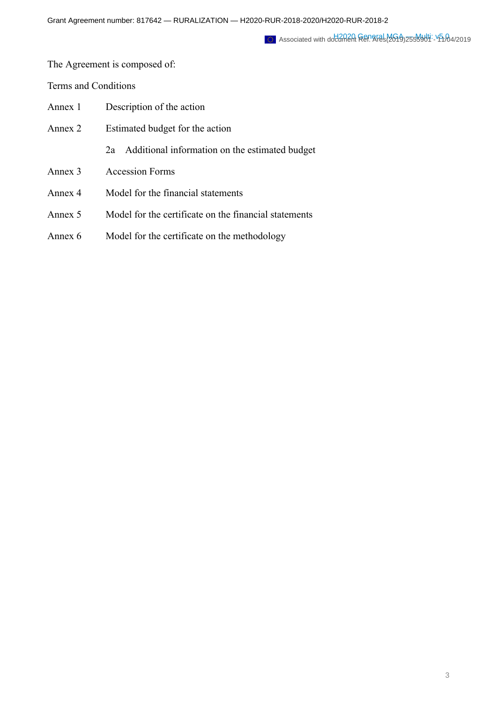Associated with doclament Ref. Aras(2619)255556114: V5.04/2019

The Agreement is composed of:

Terms and Conditions

| Annex 1 | Description of the action                             |  |  |  |  |  |  |  |
|---------|-------------------------------------------------------|--|--|--|--|--|--|--|
| Annex 2 | Estimated budget for the action                       |  |  |  |  |  |  |  |
|         | Additional information on the estimated budget<br>2a  |  |  |  |  |  |  |  |
| Annex 3 | <b>Accession Forms</b>                                |  |  |  |  |  |  |  |
| Annex 4 | Model for the financial statements                    |  |  |  |  |  |  |  |
| Annex 5 | Model for the certificate on the financial statements |  |  |  |  |  |  |  |

Annex 6 Model for the certificate on the methodology